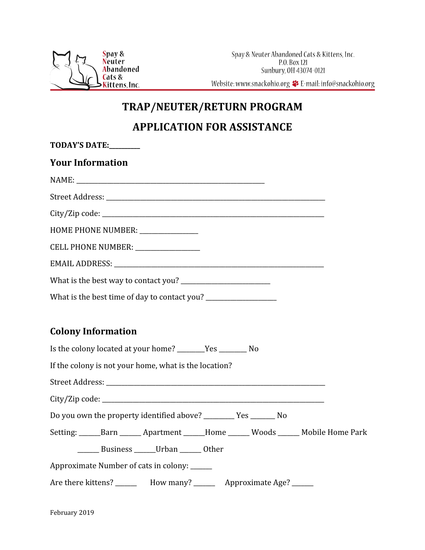

Website: www.snackohio.org <>>
E-mail: info@snackohio.org

## **TRAP/NEUTER/RETURN PROGRAM**

## **APPLICATION FOR ASSISTANCE**

| TODAY'S DATE:                                                                         |  |  |  |
|---------------------------------------------------------------------------------------|--|--|--|
| <b>Your Information</b>                                                               |  |  |  |
|                                                                                       |  |  |  |
|                                                                                       |  |  |  |
|                                                                                       |  |  |  |
| HOME PHONE NUMBER: ______________                                                     |  |  |  |
| CELL PHONE NUMBER: _______________                                                    |  |  |  |
|                                                                                       |  |  |  |
|                                                                                       |  |  |  |
|                                                                                       |  |  |  |
|                                                                                       |  |  |  |
| <b>Colony Information</b>                                                             |  |  |  |
| Is the colony located at your home? ________Yes __________ No                         |  |  |  |
| If the colony is not your home, what is the location?                                 |  |  |  |
|                                                                                       |  |  |  |
|                                                                                       |  |  |  |
| Do you own the property identified above? ___________ Yes _________ No                |  |  |  |
| Setting: ______Barn _______ Apartment ______Home ______ Woods ______ Mobile Home Park |  |  |  |
| ________ Business ________ Urban _______ Other                                        |  |  |  |
| Approximate Number of cats in colony: ______                                          |  |  |  |
| Are there kittens? __________ How many? ___________ Approximate Age? _______          |  |  |  |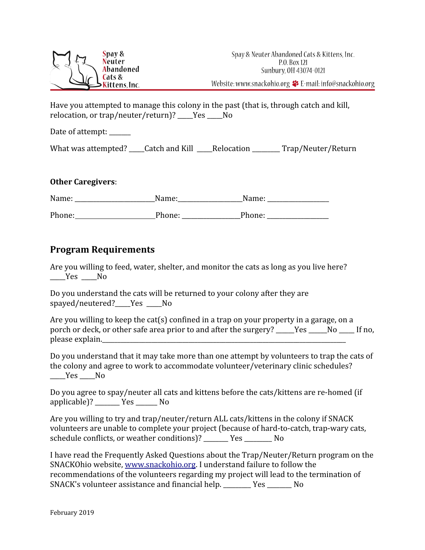

Have you attempted to manage this colony in the past (that is, through catch and kill, relocation, or trap/neuter/return)? Yes No

Date of attempt: \_\_\_\_\_\_

What was attempted? \_\_\_\_Catch and Kill \_\_\_\_Relocation \_\_\_\_\_\_\_\_ Trap/Neuter/Return

## **Other Caregivers**:

| Name:  | Name:  | Name:  |
|--------|--------|--------|
| Phone: | Phone: | Phone: |

## **Program Requirements**

Are you willing to feed, water, shelter, and monitor the cats as long as you live here? \_\_\_\_\_Yes \_\_\_\_\_No

Do you understand the cats will be returned to your colony after they are spayed/neutered?\_\_\_\_\_Yes \_\_\_\_\_No

Are you willing to keep the cat(s) confined in a trap on your property in a garage, on a porch or deck, or other safe area prior to and after the surgery? Yes No If no, please explain.

Do you understand that it may take more than one attempt by volunteers to trap the cats of the colony and agree to work to accommodate volunteer/veterinary clinic schedules? Yes No

Do you agree to spay/neuter all cats and kittens before the cats/kittens are re-homed (if applicable)? \_\_\_\_\_\_\_\_ Yes \_\_\_\_\_\_\_ No

Are you willing to try and trap/neuter/return ALL cats/kittens in the colony if SNACK volunteers are unable to complete your project (because of hard-to-catch, trap-wary cats, schedule conflicts, or weather conditions)? \_\_\_\_\_\_\_\_ Yes \_\_\_\_\_\_\_\_\_ No

I have read the Frequently Asked Questions about the Trap/Neuter/Return program on the SNACKOhio website, [www.snackohio.org.](http://www.snackohio.org/) I understand failure to follow the recommendations of the volunteers regarding my project will lead to the termination of SNACK's volunteer assistance and financial help. \_\_\_\_\_\_\_\_\_ Yes \_\_\_\_\_\_\_\_ No